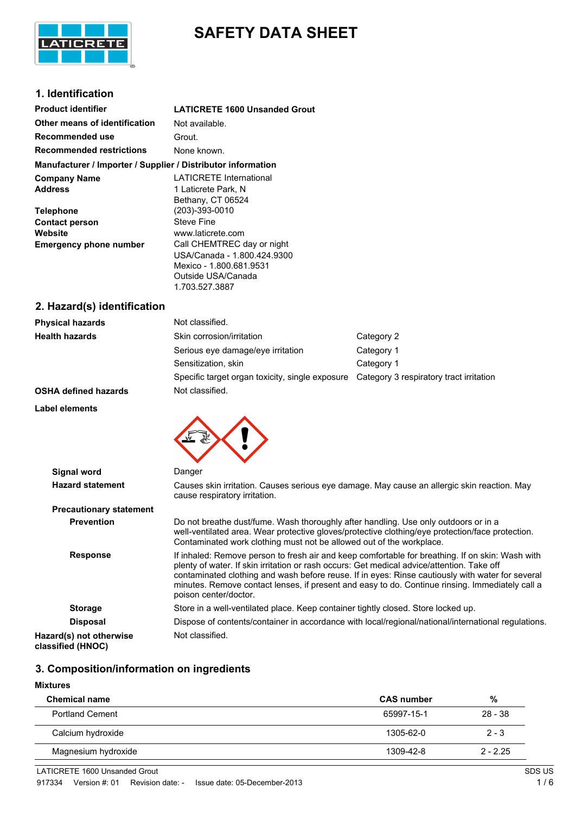



# **1. Identification**

| <b>Product identifier</b>                                    | <b>LATICRETE 1600 Unsanded Grout</b> |  |
|--------------------------------------------------------------|--------------------------------------|--|
| Other means of identification                                | Not available.                       |  |
| Recommended use                                              | Grout.                               |  |
| <b>Recommended restrictions</b>                              | None known.                          |  |
| Manufacturer / Importer / Supplier / Distributor information |                                      |  |
| <b>Company Name</b>                                          | <b>LATICRETE International</b>       |  |
| <b>Address</b>                                               | 1 Laticrete Park, N                  |  |
|                                                              | Bethany, CT 06524                    |  |
| <b>Telephone</b>                                             | $(203) - 393 - 0010$                 |  |
| <b>Contact person</b>                                        | <b>Steve Fine</b>                    |  |
| Website                                                      | www.laticrete.com                    |  |
| <b>Emergency phone number</b>                                | Call CHEMTREC day or night           |  |
|                                                              | USA/Canada - 1.800.424.9300          |  |
|                                                              | Mexico - 1.800.681.9531              |  |
|                                                              | Outside USA/Canada                   |  |
|                                                              | 1.703.527.3887                       |  |

# **2. Hazard(s) identification**

| <b>Physical hazards</b>     | Not classified.                                                                         |            |
|-----------------------------|-----------------------------------------------------------------------------------------|------------|
| <b>Health hazards</b>       | Skin corrosion/irritation                                                               | Category 2 |
|                             | Serious eye damage/eye irritation                                                       | Category 1 |
|                             | Sensitization, skin                                                                     | Category 1 |
|                             | Specific target organ toxicity, single exposure Category 3 respiratory tract irritation |            |
| <b>OSHA defined hazards</b> | Not classified.                                                                         |            |

### **Label elements**



| <b>Signal word</b>                           | Danger                                                                                                                                                                                                                                                                                                                                                                                                                         |
|----------------------------------------------|--------------------------------------------------------------------------------------------------------------------------------------------------------------------------------------------------------------------------------------------------------------------------------------------------------------------------------------------------------------------------------------------------------------------------------|
| <b>Hazard statement</b>                      | Causes skin irritation. Causes serious eye damage. May cause an allergic skin reaction. May<br>cause respiratory irritation.                                                                                                                                                                                                                                                                                                   |
| <b>Precautionary statement</b>               |                                                                                                                                                                                                                                                                                                                                                                                                                                |
| <b>Prevention</b>                            | Do not breathe dust/fume. Wash thoroughly after handling. Use only outdoors or in a<br>well-ventilated area. Wear protective gloves/protective clothing/eye protection/face protection.<br>Contaminated work clothing must not be allowed out of the workplace.                                                                                                                                                                |
| <b>Response</b>                              | If inhaled: Remove person to fresh air and keep comfortable for breathing. If on skin: Wash with<br>plenty of water. If skin irritation or rash occurs: Get medical advice/attention. Take off<br>contaminated clothing and wash before reuse. If in eyes: Rinse cautiously with water for several<br>minutes. Remove contact lenses, if present and easy to do. Continue rinsing. Immediately call a<br>poison center/doctor. |
| <b>Storage</b>                               | Store in a well-ventilated place. Keep container tightly closed. Store locked up.                                                                                                                                                                                                                                                                                                                                              |
| <b>Disposal</b>                              | Dispose of contents/container in accordance with local/regional/national/international regulations.                                                                                                                                                                                                                                                                                                                            |
| Hazard(s) not otherwise<br>classified (HNOC) | Not classified.                                                                                                                                                                                                                                                                                                                                                                                                                |

# **3. Composition/information on ingredients**

### **Mixtures**

| 65997-15-1 | $28 - 38$  |
|------------|------------|
|            |            |
| 1305-62-0  | $2 - 3$    |
| 1309-42-8  | $2 - 2.25$ |
|            |            |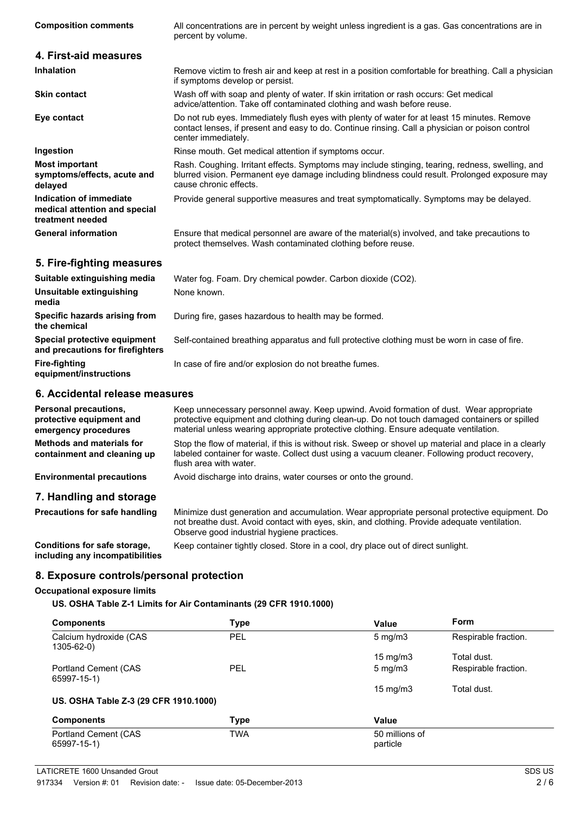| <b>Composition comments</b>                                                  | All concentrations are in percent by weight unless ingredient is a gas. Gas concentrations are in<br>percent by volume.                                                                                                     |
|------------------------------------------------------------------------------|-----------------------------------------------------------------------------------------------------------------------------------------------------------------------------------------------------------------------------|
| 4. First-aid measures                                                        |                                                                                                                                                                                                                             |
| <b>Inhalation</b>                                                            | Remove victim to fresh air and keep at rest in a position comfortable for breathing. Call a physician<br>if symptoms develop or persist.                                                                                    |
| <b>Skin contact</b>                                                          | Wash off with soap and plenty of water. If skin irritation or rash occurs: Get medical<br>advice/attention. Take off contaminated clothing and wash before reuse.                                                           |
| Eye contact                                                                  | Do not rub eyes. Immediately flush eyes with plenty of water for at least 15 minutes. Remove<br>contact lenses, if present and easy to do. Continue rinsing. Call a physician or poison control<br>center immediately.      |
| Ingestion                                                                    | Rinse mouth. Get medical attention if symptoms occur.                                                                                                                                                                       |
| <b>Most important</b><br>symptoms/effects, acute and<br>delayed              | Rash. Coughing. Irritant effects. Symptoms may include stinging, tearing, redness, swelling, and<br>blurred vision. Permanent eye damage including blindness could result. Prolonged exposure may<br>cause chronic effects. |
| Indication of immediate<br>medical attention and special<br>treatment needed | Provide general supportive measures and treat symptomatically. Symptoms may be delayed.                                                                                                                                     |
| <b>General information</b>                                                   | Ensure that medical personnel are aware of the material(s) involved, and take precautions to<br>protect themselves. Wash contaminated clothing before reuse.                                                                |
| 5. Fire-fighting measures                                                    |                                                                                                                                                                                                                             |

| Suitable extinguishing media                                     | Water fog. Foam. Dry chemical powder. Carbon dioxide (CO2).                                   |
|------------------------------------------------------------------|-----------------------------------------------------------------------------------------------|
| Unsuitable extinguishing<br>media                                | None known.                                                                                   |
| Specific hazards arising from<br>the chemical                    | During fire, gases hazardous to health may be formed.                                         |
| Special protective equipment<br>and precautions for firefighters | Self-contained breathing apparatus and full protective clothing must be worn in case of fire. |
| Fire-fighting<br>equipment/instructions                          | In case of fire and/or explosion do not breathe fumes.                                        |

### **6. Accidental release measures**

| <b>Personal precautions,</b><br>protective equipment and<br>emergency procedures | Keep unnecessary personnel away. Keep upwind. Avoid formation of dust. Wear appropriate<br>protective equipment and clothing during clean-up. Do not touch damaged containers or spilled<br>material unless wearing appropriate protective clothing. Ensure adequate ventilation. |
|----------------------------------------------------------------------------------|-----------------------------------------------------------------------------------------------------------------------------------------------------------------------------------------------------------------------------------------------------------------------------------|
| <b>Methods and materials for</b><br>containment and cleaning up                  | Stop the flow of material, if this is without risk. Sweep or shovel up material and place in a clearly<br>labeled container for waste. Collect dust using a vacuum cleaner. Following product recovery,<br>flush area with water.                                                 |
| <b>Environmental precautions</b>                                                 | Avoid discharge into drains, water courses or onto the ground.                                                                                                                                                                                                                    |
| 7. Handling and storage                                                          |                                                                                                                                                                                                                                                                                   |
| Precautions for safe handling                                                    | Minimize dust generation and accumulation. Wear appropriate personal protective equipment. Do<br>not breathe dust. Avoid contact with eyes, skin, and clothing. Provide adequate ventilation.<br>Observe good industrial hygiene practices.                                       |

**Conditions for safe storage, including any incompatibilities** Keep container tightly closed. Store in a cool, dry place out of direct sunlight.

## **8. Exposure controls/personal protection**

#### **Occupational exposure limits**

**US. OSHA Table Z-1 Limits for Air Contaminants (29 CFR 1910.1000)**

| <b>Components</b>                          | <b>Type</b> | Value                      | <b>Form</b>          |
|--------------------------------------------|-------------|----------------------------|----------------------|
| Calcium hydroxide (CAS<br>1305-62-0)       | PEL         | $5 \text{ mg/m}$ 3         | Respirable fraction. |
|                                            |             | $15 \text{ mg/m}$          | Total dust.          |
| <b>Portland Cement (CAS</b><br>65997-15-1) | <b>PEL</b>  | $5 \text{ mg/m}$ 3         | Respirable fraction. |
|                                            |             | $15 \text{ mg/m}$          | Total dust.          |
| US. OSHA Table Z-3 (29 CFR 1910.1000)      |             |                            |                      |
| <b>Components</b>                          | <b>Type</b> | Value                      |                      |
| <b>Portland Cement (CAS</b><br>65997-15-1) | <b>TWA</b>  | 50 millions of<br>particle |                      |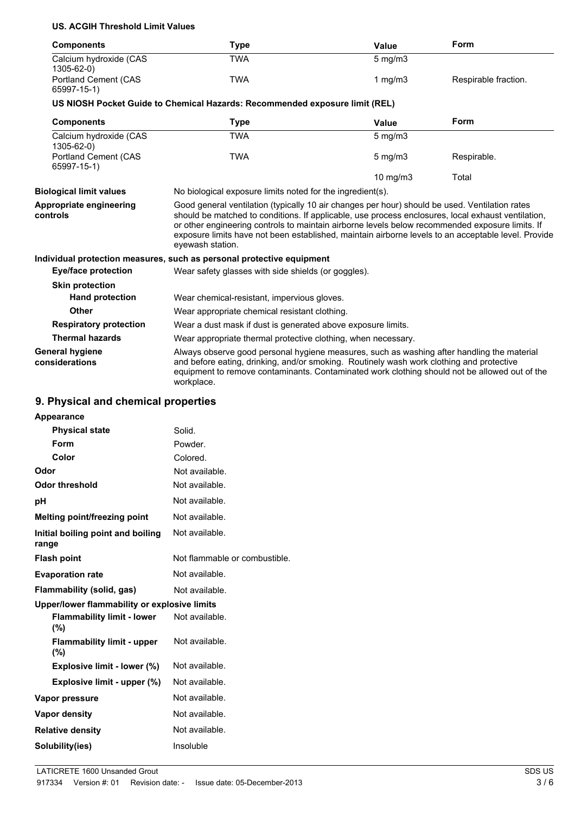### **US. ACGIH Threshold Limit Values**

| <b>Components</b>                        | <b>Type</b>                                                                                                                                                                                                                                                                                                                                                                                                                        | <b>Value</b>     | Form                 |
|------------------------------------------|------------------------------------------------------------------------------------------------------------------------------------------------------------------------------------------------------------------------------------------------------------------------------------------------------------------------------------------------------------------------------------------------------------------------------------|------------------|----------------------|
| Calcium hydroxide (CAS<br>1305-62-0)     | <b>TWA</b>                                                                                                                                                                                                                                                                                                                                                                                                                         | $5$ mg/m $3$     |                      |
| Portland Cement (CAS<br>65997-15-1)      | <b>TWA</b>                                                                                                                                                                                                                                                                                                                                                                                                                         | 1 $mg/m3$        | Respirable fraction. |
|                                          | US NIOSH Pocket Guide to Chemical Hazards: Recommended exposure limit (REL)                                                                                                                                                                                                                                                                                                                                                        |                  |                      |
| <b>Components</b>                        | <b>Type</b>                                                                                                                                                                                                                                                                                                                                                                                                                        | <b>Value</b>     | Form                 |
| Calcium hydroxide (CAS<br>1305-62-0)     | <b>TWA</b>                                                                                                                                                                                                                                                                                                                                                                                                                         | $5$ mg/m $3$     |                      |
| Portland Cement (CAS<br>65997-15-1)      | <b>TWA</b>                                                                                                                                                                                                                                                                                                                                                                                                                         | $5 \text{ mg/m}$ | Respirable.          |
|                                          |                                                                                                                                                                                                                                                                                                                                                                                                                                    | 10 $mg/m3$       | Total                |
| <b>Biological limit values</b>           | No biological exposure limits noted for the ingredient(s).                                                                                                                                                                                                                                                                                                                                                                         |                  |                      |
| Appropriate engineering<br>controls      | Good general ventilation (typically 10 air changes per hour) should be used. Ventilation rates<br>should be matched to conditions. If applicable, use process enclosures, local exhaust ventilation,<br>or other engineering controls to maintain airborne levels below recommended exposure limits. If<br>exposure limits have not been established, maintain airborne levels to an acceptable level. Provide<br>eyewash station. |                  |                      |
|                                          | Individual protection measures, such as personal protective equipment                                                                                                                                                                                                                                                                                                                                                              |                  |                      |
| <b>Eye/face protection</b>               | Wear safety glasses with side shields (or goggles).                                                                                                                                                                                                                                                                                                                                                                                |                  |                      |
| <b>Skin protection</b>                   |                                                                                                                                                                                                                                                                                                                                                                                                                                    |                  |                      |
| <b>Hand protection</b>                   | Wear chemical-resistant, impervious gloves.                                                                                                                                                                                                                                                                                                                                                                                        |                  |                      |
| <b>Other</b>                             | Wear appropriate chemical resistant clothing.                                                                                                                                                                                                                                                                                                                                                                                      |                  |                      |
| <b>Respiratory protection</b>            | Wear a dust mask if dust is generated above exposure limits.                                                                                                                                                                                                                                                                                                                                                                       |                  |                      |
| <b>Thermal hazards</b>                   | Wear appropriate thermal protective clothing, when necessary.                                                                                                                                                                                                                                                                                                                                                                      |                  |                      |
| <b>General hygiene</b><br>considerations | Always observe good personal hygiene measures, such as washing after handling the material<br>and before eating, drinking, and/or smoking. Routinely wash work clothing and protective<br>equipment to remove contaminants. Contaminated work clothing should not be allowed out of the<br>workplace.                                                                                                                              |                  |                      |

# **9. Physical and chemical properties**

| <b>Appearance</b>                            |                               |
|----------------------------------------------|-------------------------------|
| <b>Physical state</b>                        | Solid.                        |
| Form                                         | Powder.                       |
| Color                                        | Colored.                      |
| Odor                                         | Not available.                |
| <b>Odor threshold</b>                        | Not available.                |
| рH                                           | Not available.                |
| <b>Melting point/freezing point</b>          | Not available.                |
| Initial boiling point and boiling<br>range   | Not available.                |
| <b>Flash point</b>                           | Not flammable or combustible. |
| <b>Evaporation rate</b>                      | Not available.                |
| Flammability (solid, gas)                    | Not available.                |
| Upper/lower flammability or explosive limits |                               |
| <b>Flammability limit - lower</b><br>(%)     | Not available.                |
| <b>Flammability limit - upper</b><br>(%)     | Not available.                |
| Explosive limit - lower (%)                  | Not available.                |
| Explosive limit - upper (%)                  | Not available.                |
| Vapor pressure                               | Not available.                |
| <b>Vapor density</b>                         | Not available.                |
| <b>Relative density</b>                      | Not available.                |
| Solubility(ies)                              | Insoluble                     |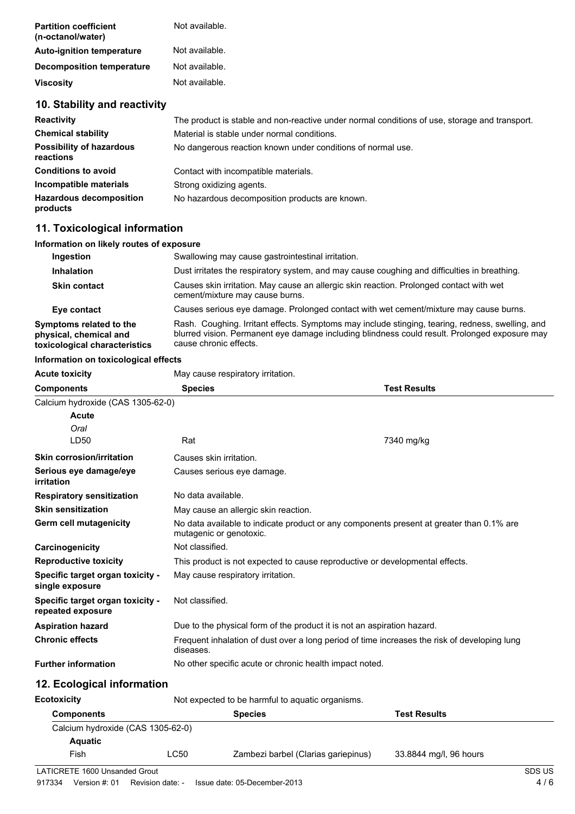| <b>Partition coefficient</b><br>(n-octanol/water) | Not available. |
|---------------------------------------------------|----------------|
| <b>Auto-ignition temperature</b>                  | Not available. |
| <b>Decomposition temperature</b>                  | Not available. |
| <b>Viscosity</b>                                  | Not available. |

# **10. Stability and reactivity**

| <b>Reactivity</b>                            | The product is stable and non-reactive under normal conditions of use, storage and transport. |
|----------------------------------------------|-----------------------------------------------------------------------------------------------|
| <b>Chemical stability</b>                    | Material is stable under normal conditions.                                                   |
| <b>Possibility of hazardous</b><br>reactions | No dangerous reaction known under conditions of normal use.                                   |
| <b>Conditions to avoid</b>                   | Contact with incompatible materials.                                                          |
| Incompatible materials                       | Strong oxidizing agents.                                                                      |
| <b>Hazardous decomposition</b><br>products   | No hazardous decomposition products are known.                                                |

## **11. Toxicological information**

### **Information on likely routes of exposure**

| Ingestion                                                                          | Swallowing may cause gastrointestinal irritation.                                                                                                                                                                           |
|------------------------------------------------------------------------------------|-----------------------------------------------------------------------------------------------------------------------------------------------------------------------------------------------------------------------------|
| <b>Inhalation</b>                                                                  | Dust irritates the respiratory system, and may cause coughing and difficulties in breathing.                                                                                                                                |
| <b>Skin contact</b>                                                                | Causes skin irritation. May cause an allergic skin reaction. Prolonged contact with wet<br>cement/mixture may cause burns.                                                                                                  |
| Eye contact                                                                        | Causes serious eye damage. Prolonged contact with wet cement/mixture may cause burns.                                                                                                                                       |
| Symptoms related to the<br>physical, chemical and<br>toxicological characteristics | Rash. Coughing. Irritant effects. Symptoms may include stinging, tearing, redness, swelling, and<br>blurred vision. Permanent eye damage including blindness could result. Prolonged exposure may<br>cause chronic effects. |

### **Information on toxicological effects**

| <b>Acute toxicity</b>                                 |                    | May cause respiratory irritation.                                                                                   |                        |  |
|-------------------------------------------------------|--------------------|---------------------------------------------------------------------------------------------------------------------|------------------------|--|
| <b>Components</b>                                     | <b>Species</b>     |                                                                                                                     | <b>Test Results</b>    |  |
| Calcium hydroxide (CAS 1305-62-0)                     |                    |                                                                                                                     |                        |  |
| <b>Acute</b>                                          |                    |                                                                                                                     |                        |  |
| Oral                                                  |                    |                                                                                                                     |                        |  |
| LD50                                                  | Rat                |                                                                                                                     | 7340 mg/kg             |  |
| <b>Skin corrosion/irritation</b>                      |                    | Causes skin irritation.                                                                                             |                        |  |
| Serious eye damage/eye<br>irritation                  |                    | Causes serious eye damage.                                                                                          |                        |  |
| <b>Respiratory sensitization</b>                      | No data available. |                                                                                                                     |                        |  |
| <b>Skin sensitization</b>                             |                    | May cause an allergic skin reaction.                                                                                |                        |  |
| Germ cell mutagenicity                                |                    | No data available to indicate product or any components present at greater than 0.1% are<br>mutagenic or genotoxic. |                        |  |
| Carcinogenicity                                       |                    | Not classified.                                                                                                     |                        |  |
| <b>Reproductive toxicity</b>                          |                    | This product is not expected to cause reproductive or developmental effects.                                        |                        |  |
| Specific target organ toxicity -<br>single exposure   |                    | May cause respiratory irritation.                                                                                   |                        |  |
| Specific target organ toxicity -<br>repeated exposure | Not classified.    |                                                                                                                     |                        |  |
| <b>Aspiration hazard</b>                              |                    | Due to the physical form of the product it is not an aspiration hazard.                                             |                        |  |
| <b>Chronic effects</b>                                |                    | Frequent inhalation of dust over a long period of time increases the risk of developing lung<br>diseases.           |                        |  |
| <b>Further information</b>                            |                    | No other specific acute or chronic health impact noted.                                                             |                        |  |
| 12. Ecological information                            |                    |                                                                                                                     |                        |  |
| <b>Ecotoxicity</b>                                    |                    | Not expected to be harmful to aquatic organisms.                                                                    |                        |  |
| <b>Components</b>                                     |                    | <b>Species</b>                                                                                                      | <b>Test Results</b>    |  |
| Calcium hydroxide (CAS 1305-62-0)                     |                    |                                                                                                                     |                        |  |
| <b>Aquatic</b>                                        |                    |                                                                                                                     |                        |  |
| Fish                                                  | <b>LC50</b>        | Zambezi barbel (Clarias gariepinus)                                                                                 | 33.8844 mg/l, 96 hours |  |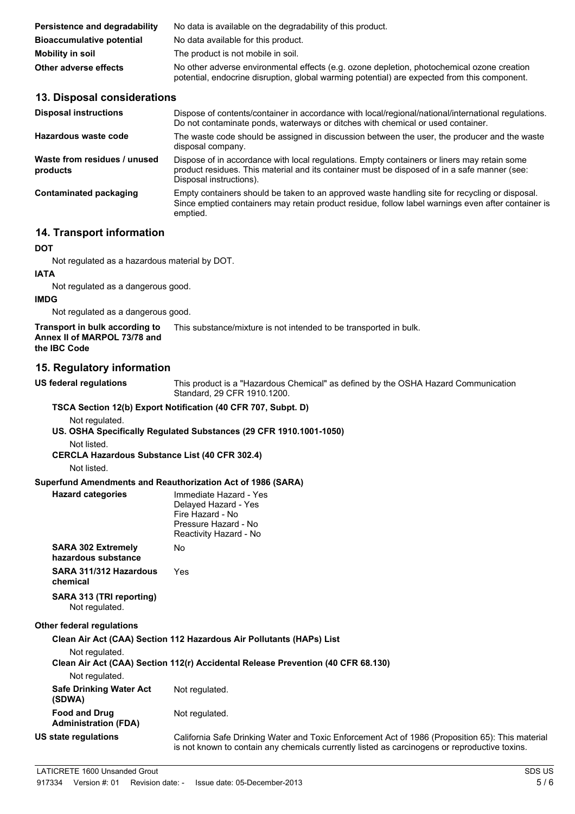| Persistence and degradability    | No data is available on the degradability of this product.                                                                                                                                 |
|----------------------------------|--------------------------------------------------------------------------------------------------------------------------------------------------------------------------------------------|
| <b>Bioaccumulative potential</b> | No data available for this product.                                                                                                                                                        |
| <b>Mobility in soil</b>          | The product is not mobile in soil.                                                                                                                                                         |
| Other adverse effects            | No other adverse environmental effects (e.g. ozone depletion, photochemical ozone creation<br>potential, endocrine disruption, global warming potential) are expected from this component. |

### **13. Disposal considerations**

| <b>Disposal instructions</b>             | Dispose of contents/container in accordance with local/regional/national/international regulations.<br>Do not contaminate ponds, waterways or ditches with chemical or used container.                                 |
|------------------------------------------|------------------------------------------------------------------------------------------------------------------------------------------------------------------------------------------------------------------------|
| Hazardous waste code                     | The waste code should be assigned in discussion between the user, the producer and the waste<br>disposal company.                                                                                                      |
| Waste from residues / unused<br>products | Dispose of in accordance with local regulations. Empty containers or liners may retain some<br>product residues. This material and its container must be disposed of in a safe manner (see:<br>Disposal instructions). |
| Contaminated packaging                   | Empty containers should be taken to an approved waste handling site for recycling or disposal.<br>Since emptied containers may retain product residue, follow label warnings even after container is<br>emptied.       |

## **14. Transport information**

#### **DOT**

Not regulated as a hazardous material by DOT.

### **IATA**

Not regulated as a dangerous good.

# **IMDG**

Not regulated as a dangerous good.

**Transport in bulk according to Annex II of MARPOL 73/78 and the IBC Code** This substance/mixture is not intended to be transported in bulk.

## **15. Regulatory information**

**US federal regulations** This product is a "Hazardous Chemical" as defined by the OSHA Hazard Communication Standard, 29 CFR 1910.1200.

### **TSCA Section 12(b) Export Notification (40 CFR 707, Subpt. D)**

Not regulated.

- **US. OSHA Specifically Regulated Substances (29 CFR 1910.1001-1050)**
	- Not listed.

## **CERCLA Hazardous Substance List (40 CFR 302.4)**

Not listed.

## **Superfund Amendments and Reauthorization Act of 1986 (SARA)**

| <b>Hazard categories</b>                         | Immediate Hazard - Yes<br>Delayed Hazard - Yes<br>Fire Hazard - No<br>Pressure Hazard - No<br>Reactivity Hazard - No |
|--------------------------------------------------|----------------------------------------------------------------------------------------------------------------------|
| <b>SARA 302 Extremely</b><br>hazardous substance | No.                                                                                                                  |
| SARA 311/312 Hazardous<br>chemical               | Yes                                                                                                                  |
| SARA 313 (TRI reporting)<br>Not regulated.       |                                                                                                                      |
| <b>Other federal regulations</b>                 |                                                                                                                      |
|                                                  | Clean Air Act (CAA) Section 112 Hazardous Air Pollutants (HAPs) List                                                 |
| Not regulated.                                   | Clean Air Act (CAA) Section 112(r) Accidental Release Prevention (40 CFR 68.130)                                     |
| Not roquinted                                    |                                                                                                                      |

Not regulated. **Safe Drinking Water Act (SDWA)** Not regulated. **Food and Drug Administration (FDA)** Not regulated. **US state regulations** California Safe Drinking Water and Toxic Enforcement Act of 1986 (Proposition 65): This material is not known to contain any chemicals currently listed as carcinogens or reproductive toxins.